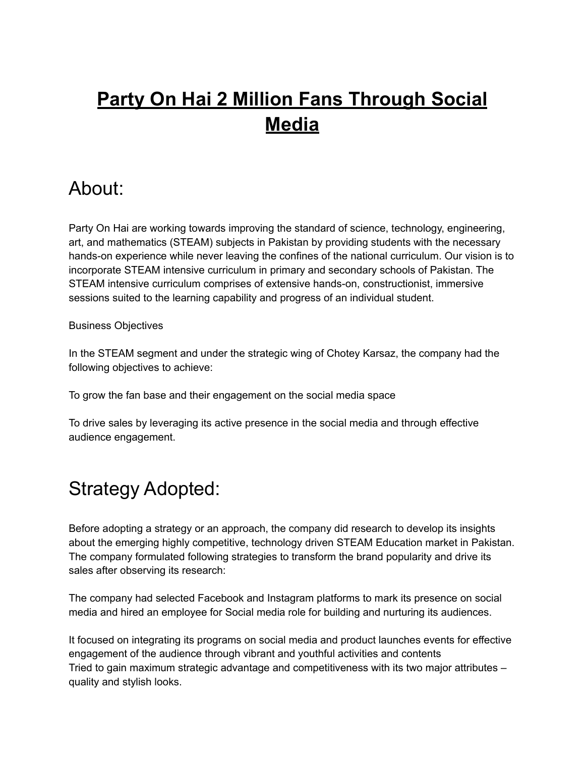# **Party On Hai 2 Million Fans Through Social Media**

### About:

Party On Hai are working towards improving the standard of science, technology, engineering, art, and mathematics (STEAM) subjects in Pakistan by providing students with the necessary hands-on experience while never leaving the confines of the national curriculum. Our vision is to incorporate STEAM intensive curriculum in primary and secondary schools of Pakistan. The STEAM intensive curriculum comprises of extensive hands-on, constructionist, immersive sessions suited to the learning capability and progress of an individual student.

#### Business Objectives

In the STEAM segment and under the strategic wing of Chotey Karsaz, the company had the following objectives to achieve:

To grow the fan base and their engagement on the social media space

To drive sales by leveraging its active presence in the social media and through effective audience engagement.

### Strategy Adopted:

Before adopting a strategy or an approach, the company did research to develop its insights about the emerging highly competitive, technology driven STEAM Education market in Pakistan. The company formulated following strategies to transform the brand popularity and drive its sales after observing its research:

The company had selected Facebook and Instagram platforms to mark its presence on social media and hired an employee for Social media role for building and nurturing its audiences.

It focused on integrating its programs on social media and product launches events for effective engagement of the audience through vibrant and youthful activities and contents Tried to gain maximum strategic advantage and competitiveness with its two major attributes – quality and stylish looks.